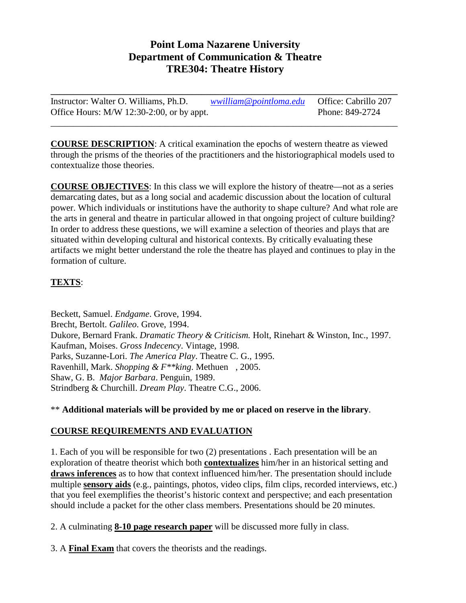# **Point Loma Nazarene University Department of Communication & Theatre TRE304: Theatre History**

**\_\_\_\_\_\_\_\_\_\_\_\_\_\_\_\_\_\_\_\_\_\_\_\_\_\_\_\_\_\_\_\_\_\_\_\_\_\_\_\_\_\_\_\_\_\_\_\_\_\_\_\_\_\_\_\_\_\_\_\_\_\_\_\_\_\_\_\_\_\_\_\_\_\_\_\_** Instructor: Walter O. Williams, Ph.D. *[wwilliam@pointloma.edu](mailto:wwilliam@pointloma.edu)* Office: Cabrillo 207 Office Hours: M/W 12:30-2:00, or by appt. Phone: 849-2724

\_\_\_\_\_\_\_\_\_\_\_\_\_\_\_\_\_\_\_\_\_\_\_\_\_\_\_\_\_\_\_\_\_\_\_\_\_\_\_\_\_\_\_\_\_\_\_\_\_\_\_\_\_\_\_\_\_\_\_\_\_\_\_\_\_\_\_\_\_\_\_\_\_\_\_\_

**COURSE DESCRIPTION**: A critical examination the epochs of western theatre as viewed through the prisms of the theories of the practitioners and the historiographical models used to contextualize those theories.

**COURSE OBJECTIVES**: In this class we will explore the history of theatre—not as a series demarcating dates, but as a long social and academic discussion about the location of cultural power. Which individuals or institutions have the authority to shape culture? And what role are the arts in general and theatre in particular allowed in that ongoing project of culture building? In order to address these questions, we will examine a selection of theories and plays that are situated within developing cultural and historical contexts. By critically evaluating these artifacts we might better understand the role the theatre has played and continues to play in the formation of culture.

## **TEXTS**:

Beckett, Samuel. *Endgame*. Grove, 1994. Brecht, Bertolt. *Galileo*. Grove, 1994. Dukore, Bernard Frank. *Dramatic Theory & Criticism.* Holt, Rinehart & Winston, Inc., 1997. Kaufman, Moises. *Gross Indecency*. Vintage, 1998. Parks, Suzanne-Lori. *The America Play*. Theatre C. G., 1995. Ravenhill, Mark. *Shopping & F\*\*king*. Methuen , 2005. Shaw, G. B. *Major Barbara*. Penguin, 1989. Strindberg & Churchill. *Dream Play*. Theatre C.G., 2006.

\*\* **Additional materials will be provided by me or placed on reserve in the library**.

## **COURSE REQUIREMENTS AND EVALUATION**

1. Each of you will be responsible for two (2) presentations . Each presentation will be an exploration of theatre theorist which both **contextualizes** him/her in an historical setting and **draws inferences** as to how that context influenced him/her. The presentation should include multiple **sensory aids** (e.g., paintings, photos, video clips, film clips, recorded interviews, etc.) that you feel exemplifies the theorist's historic context and perspective; and each presentation should include a packet for the other class members. Presentations should be 20 minutes.

2. A culminating **8-10 page research paper** will be discussed more fully in class.

3. A **Final Exam** that covers the theorists and the readings.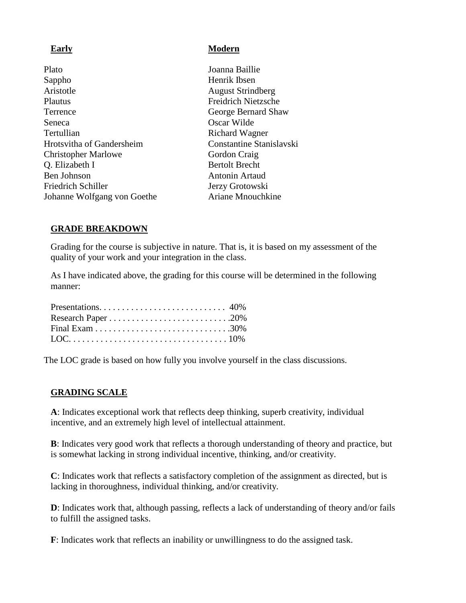Plato Joanna Baillie Sappho Henrik Ibsen Aristotle August Strindberg Plautus Freidrich Nietzsche Terrence George Bernard Shaw<br>Seneca George Bernard Shaw<br>Oscar Wilde Tertullian Richard Wagner Hrotsvitha of Gandersheim Constantine Stanislavski Christopher Marlowe Gordon Craig Q. Elizabeth I Bertolt Brecht Ben Johnson Antonin Artaud Friedrich Schiller **Jerzy Grotowski** Johanne Wolfgang von Goethe Ariane Mnouchkine

#### **Early Modern**

Oscar Wilde

#### **GRADE BREAKDOWN**

Grading for the course is subjective in nature. That is, it is based on my assessment of the quality of your work and your integration in the class.

As I have indicated above, the grading for this course will be determined in the following manner:

The LOC grade is based on how fully you involve yourself in the class discussions.

#### **GRADING SCALE**

**A**: Indicates exceptional work that reflects deep thinking, superb creativity, individual incentive, and an extremely high level of intellectual attainment.

**B**: Indicates very good work that reflects a thorough understanding of theory and practice, but is somewhat lacking in strong individual incentive, thinking, and/or creativity.

**C**: Indicates work that reflects a satisfactory completion of the assignment as directed, but is lacking in thoroughness, individual thinking, and/or creativity.

**D**: Indicates work that, although passing, reflects a lack of understanding of theory and/or fails to fulfill the assigned tasks.

**F**: Indicates work that reflects an inability or unwillingness to do the assigned task.